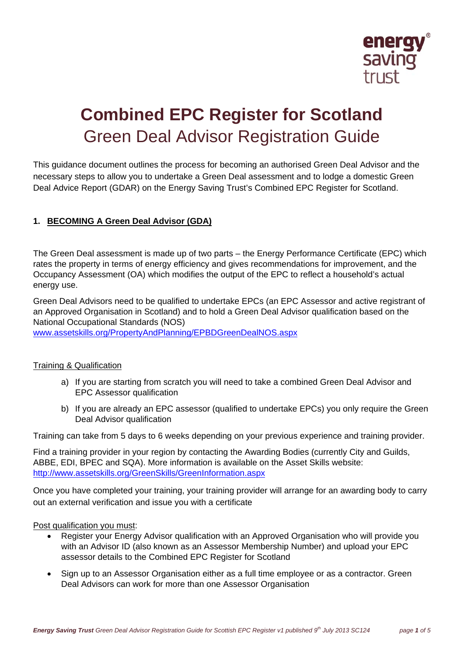

# **Combined EPC Register for Scotland**  Green Deal Advisor Registration Guide

This guidance document outlines the process for becoming an authorised Green Deal Advisor and the necessary steps to allow you to undertake a Green Deal assessment and to lodge a domestic Green Deal Advice Report (GDAR) on the Energy Saving Trust's Combined EPC Register for Scotland.

## **1. BECOMING A Green Deal Advisor (GDA)**

The Green Deal assessment is made up of two parts – the Energy Performance Certificate (EPC) which rates the property in terms of energy efficiency and gives recommendations for improvement, and the Occupancy Assessment (OA) which modifies the output of the EPC to reflect a household's actual energy use.

Green Deal Advisors need to be qualified to undertake EPCs (an EPC Assessor and active registrant of an Approved Organisation in Scotland) and to hold a Green Deal Advisor qualification based on the National Occupational Standards (NOS)

www.assetskills.org/PropertyAndPlanning/EPBDGreenDealNOS.aspx

#### Training & Qualification

- a) If you are starting from scratch you will need to take a combined Green Deal Advisor and EPC Assessor qualification
- b) If you are already an EPC assessor (qualified to undertake EPCs) you only require the Green Deal Advisor qualification

Training can take from 5 days to 6 weeks depending on your previous experience and training provider.

Find a training provider in your region by contacting the Awarding Bodies (currently City and Guilds, ABBE, EDI, BPEC and SQA). More information is available on the Asset Skills website: http://www.assetskills.org/GreenSkills/GreenInformation.aspx

Once you have completed your training, your training provider will arrange for an awarding body to carry out an external verification and issue you with a certificate

#### Post qualification you must:

- Register your Energy Advisor qualification with an Approved Organisation who will provide you with an Advisor ID (also known as an Assessor Membership Number) and upload your EPC assessor details to the Combined EPC Register for Scotland
- Sign up to an Assessor Organisation either as a full time employee or as a contractor. Green Deal Advisors can work for more than one Assessor Organisation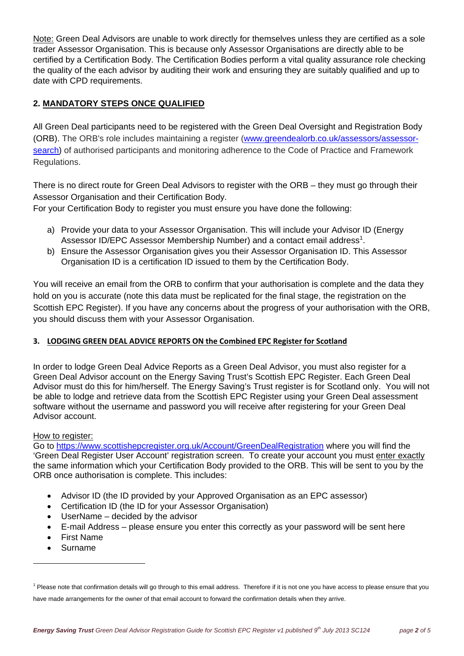Note: Green Deal Advisors are unable to work directly for themselves unless they are certified as a sole trader Assessor Organisation. This is because only Assessor Organisations are directly able to be certified by a Certification Body. The Certification Bodies perform a vital quality assurance role checking the quality of the each advisor by auditing their work and ensuring they are suitably qualified and up to date with CPD requirements.

# **2. MANDATORY STEPS ONCE QUALIFIED**

All Green Deal participants need to be registered with the Green Deal Oversight and Registration Body (ORB). The ORB's role includes maintaining a register (www.greendealorb.co.uk/assessors/assessorsearch) of authorised participants and monitoring adherence to the Code of Practice and Framework Regulations.

There is no direct route for Green Deal Advisors to register with the ORB – they must go through their Assessor Organisation and their Certification Body.

For your Certification Body to register you must ensure you have done the following:

- a) Provide your data to your Assessor Organisation. This will include your Advisor ID (Energy Assessor ID/EPC Assessor Membership Number) and a contact email address<sup>1</sup>.
- b) Ensure the Assessor Organisation gives you their Assessor Organisation ID. This Assessor Organisation ID is a certification ID issued to them by the Certification Body.

You will receive an email from the ORB to confirm that your authorisation is complete and the data they hold on you is accurate (note this data must be replicated for the final stage, the registration on the Scottish EPC Register). If you have any concerns about the progress of your authorisation with the ORB, you should discuss them with your Assessor Organisation.

#### **3. LODGING GREEN DEAL ADVICE REPORTS ON the Combined EPC Register for Scotland**

In order to lodge Green Deal Advice Reports as a Green Deal Advisor, you must also register for a Green Deal Advisor account on the Energy Saving Trust's Scottish EPC Register. Each Green Deal Advisor must do this for him/herself. The Energy Saving's Trust register is for Scotland only. You will not be able to lodge and retrieve data from the Scottish EPC Register using your Green Deal assessment software without the username and password you will receive after registering for your Green Deal Advisor account.

#### How to register:

Go to https://www.scottishepcregister.org.uk/Account/GreenDealRegistration where you will find the 'Green Deal Register User Account' registration screen. To create your account you must enter exactly the same information which your Certification Body provided to the ORB. This will be sent to you by the ORB once authorisation is complete. This includes:

- Advisor ID (the ID provided by your Approved Organisation as an EPC assessor)
- Certification ID (the ID for your Assessor Organisation)
- UserName decided by the advisor
- E-mail Address please ensure you enter this correctly as your password will be sent here
- First Name
- Surname

<sup>&</sup>lt;sup>1</sup> Please note that confirmation details will go through to this email address. Therefore if it is not one you have access to please ensure that you have made arrangements for the owner of that email account to forward the confirmation details when they arrive.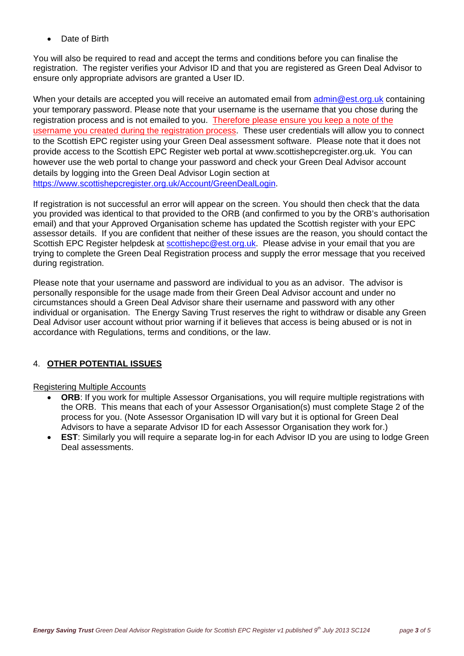Date of Birth

You will also be required to read and accept the terms and conditions before you can finalise the registration. The register verifies your Advisor ID and that you are registered as Green Deal Advisor to ensure only appropriate advisors are granted a User ID.

When your details are accepted you will receive an automated email from admin@est.org.uk containing your temporary password. Please note that your username is the username that you chose during the registration process and is not emailed to you. Therefore please ensure you keep a note of the username you created during the registration process. These user credentials will allow you to connect to the Scottish EPC register using your Green Deal assessment software. Please note that it does not provide access to the Scottish EPC Register web portal at www.scottishepcregister.org.uk. You can however use the web portal to change your password and check your Green Deal Advisor account details by logging into the Green Deal Advisor Login section at https://www.scottishepcregister.org.uk/Account/GreenDealLogin.

If registration is not successful an error will appear on the screen. You should then check that the data you provided was identical to that provided to the ORB (and confirmed to you by the ORB's authorisation email) and that your Approved Organisation scheme has updated the Scottish register with your EPC assessor details. If you are confident that neither of these issues are the reason, you should contact the Scottish EPC Register helpdesk at scottishepc@est.org.uk. Please advise in your email that you are trying to complete the Green Deal Registration process and supply the error message that you received during registration.

Please note that your username and password are individual to you as an advisor. The advisor is personally responsible for the usage made from their Green Deal Advisor account and under no circumstances should a Green Deal Advisor share their username and password with any other individual or organisation. The Energy Saving Trust reserves the right to withdraw or disable any Green Deal Advisor user account without prior warning if it believes that access is being abused or is not in accordance with Regulations, terms and conditions, or the law.

## 4. **OTHER POTENTIAL ISSUES**

#### Registering Multiple Accounts

- **ORB:** If you work for multiple Assessor Organisations, you will require multiple registrations with the ORB. This means that each of your Assessor Organisation(s) must complete Stage 2 of the process for you. (Note Assessor Organisation ID will vary but it is optional for Green Deal Advisors to have a separate Advisor ID for each Assessor Organisation they work for.)
- **EST:** Similarly you will require a separate log-in for each Advisor ID you are using to lodge Green Deal assessments.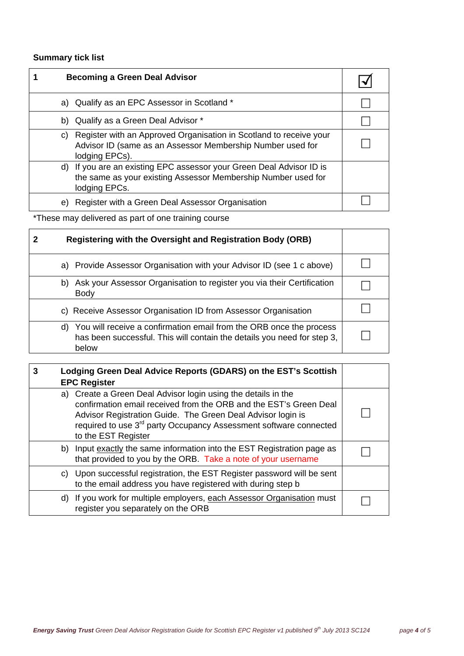# **Summary tick list**

| <b>Becoming a Green Deal Advisor</b>                                                                                                                     |  |
|----------------------------------------------------------------------------------------------------------------------------------------------------------|--|
| a) Qualify as an EPC Assessor in Scotland *                                                                                                              |  |
| b) Qualify as a Green Deal Advisor *                                                                                                                     |  |
| Register with an Approved Organisation in Scotland to receive your<br>C)<br>Advisor ID (same as an Assessor Membership Number used for<br>lodging EPCs). |  |
| d) If you are an existing EPC assessor your Green Deal Advisor ID is<br>the same as your existing Assessor Membership Number used for<br>lodging EPCs.   |  |
| Register with a Green Deal Assessor Organisation<br>e)                                                                                                   |  |

\*These may delivered as part of one training course

| 2 | <b>Registering with the Oversight and Registration Body (ORB)</b>                                                                                             |  |
|---|---------------------------------------------------------------------------------------------------------------------------------------------------------------|--|
|   | a) Provide Assessor Organisation with your Advisor ID (see 1 c above)                                                                                         |  |
|   | Ask your Assessor Organisation to register you via their Certification<br>b)<br><b>Body</b>                                                                   |  |
|   | c) Receive Assessor Organisation ID from Assessor Organisation                                                                                                |  |
|   | You will receive a confirmation email from the ORB once the process<br>d)<br>has been successful. This will contain the details you need for step 3,<br>helow |  |

| 3 | Lodging Green Deal Advice Reports (GDARS) on the EST's Scottish<br><b>EPC Register</b>                                                                                                                                                                                                                    |  |
|---|-----------------------------------------------------------------------------------------------------------------------------------------------------------------------------------------------------------------------------------------------------------------------------------------------------------|--|
|   | a) Create a Green Deal Advisor login using the details in the<br>confirmation email received from the ORB and the EST's Green Deal<br>Advisor Registration Guide. The Green Deal Advisor login is<br>required to use 3 <sup>rd</sup> party Occupancy Assessment software connected<br>to the EST Register |  |
|   | b) Input exactly the same information into the EST Registration page as<br>that provided to you by the ORB. Take a note of your username                                                                                                                                                                  |  |
|   | c) Upon successful registration, the EST Register password will be sent<br>to the email address you have registered with during step b                                                                                                                                                                    |  |
|   | d) If you work for multiple employers, each Assessor Organisation must<br>register you separately on the ORB                                                                                                                                                                                              |  |